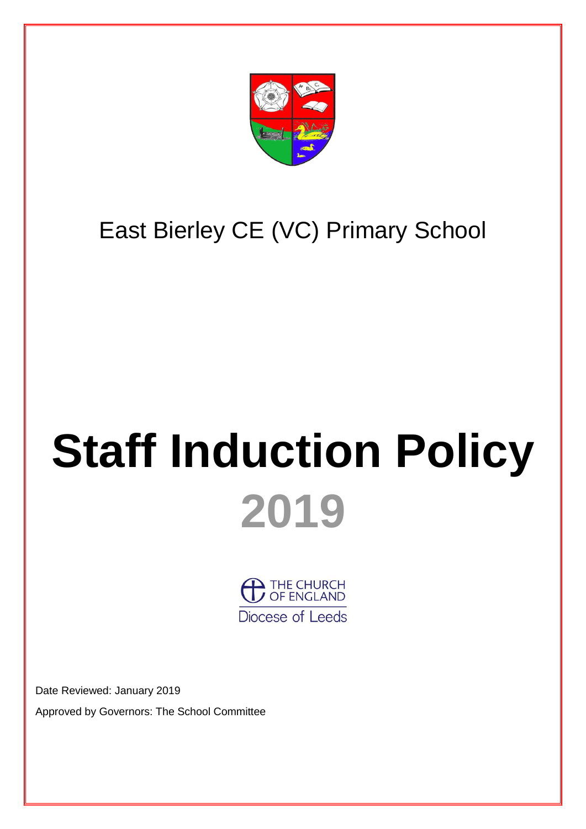

# East Bierley CE (VC) Primary School

# **Staff Induction Policy 2019**

 $\sum$  THE CHURCH Diocese of Leeds

Date Reviewed: January 2019 Approved by Governors: The School Committee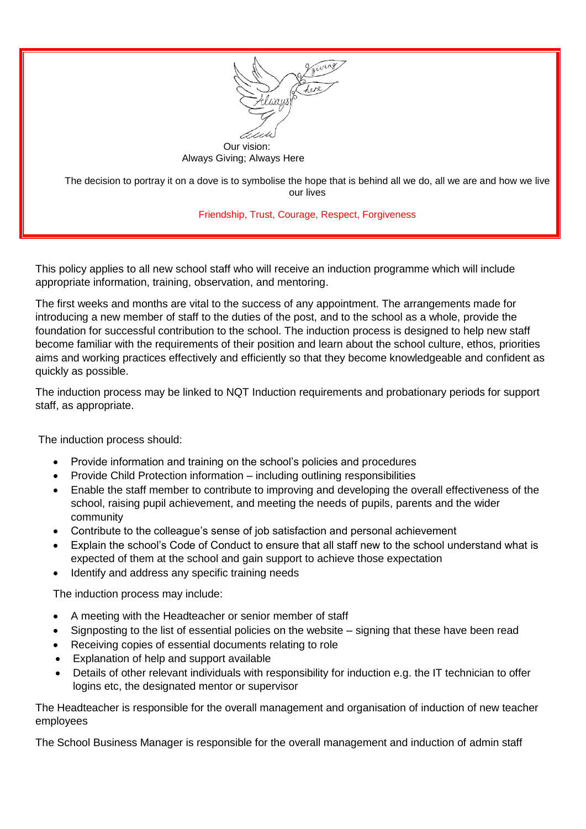

Always Giving; Always Here

The decision to portray it on a dove is to symbolise the hope that is behind all we do, all we are and how we live our lives

Friendship, Trust, Courage, Respect, Forgiveness

This policy applies to all new school staff who will receive an induction programme which will include appropriate information, training, observation, and mentoring.

The first weeks and months are vital to the success of any appointment. The arrangements made for introducing a new member of staff to the duties of the post, and to the school as a whole, provide the foundation for successful contribution to the school. The induction process is designed to help new staff become familiar with the requirements of their position and learn about the school culture, ethos, priorities aims and working practices effectively and efficiently so that they become knowledgeable and confident as quickly as possible.

The induction process may be linked to NQT Induction requirements and probationary periods for support staff, as appropriate.

The induction process should:

- Provide information and training on the school's policies and procedures
- Provide Child Protection information including outlining responsibilities
- Enable the staff member to contribute to improving and developing the overall effectiveness of the school, raising pupil achievement, and meeting the needs of pupils, parents and the wider community
- Contribute to the colleague's sense of job satisfaction and personal achievement
- Explain the school's Code of Conduct to ensure that all staff new to the school understand what is expected of them at the school and gain support to achieve those expectation
- Identify and address any specific training needs

The induction process may include:

- A meeting with the Headteacher or senior member of staff
- Signposting to the list of essential policies on the website signing that these have been read
- Receiving copies of essential documents relating to role
- Explanation of help and support available
- Details of other relevant individuals with responsibility for induction e.g. the IT technician to offer logins etc, the designated mentor or supervisor

The Headteacher is responsible for the overall management and organisation of induction of new teacher employees

The School Business Manager is responsible for the overall management and induction of admin staff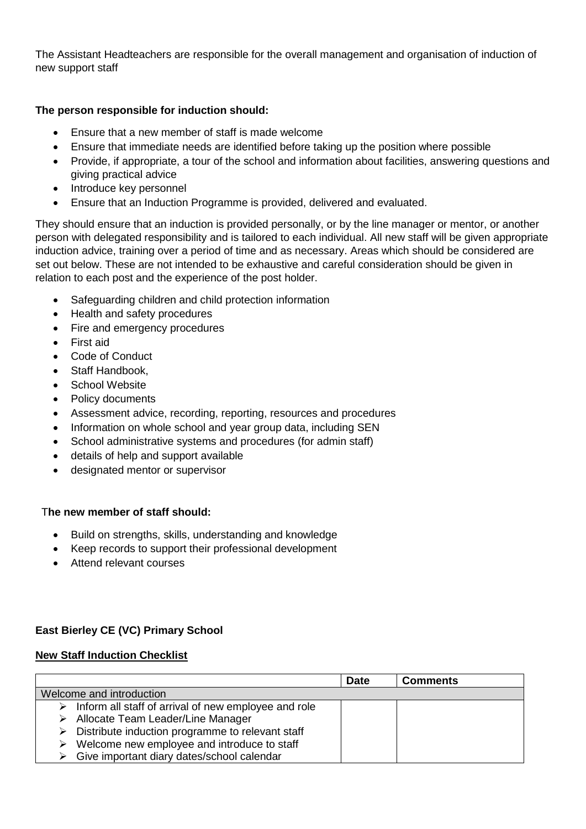The Assistant Headteachers are responsible for the overall management and organisation of induction of new support staff

### **The person responsible for induction should:**

- Ensure that a new member of staff is made welcome
- Ensure that immediate needs are identified before taking up the position where possible
- Provide, if appropriate, a tour of the school and information about facilities, answering questions and giving practical advice
- Introduce key personnel
- Ensure that an Induction Programme is provided, delivered and evaluated.

They should ensure that an induction is provided personally, or by the line manager or mentor, or another person with delegated responsibility and is tailored to each individual. All new staff will be given appropriate induction advice, training over a period of time and as necessary. Areas which should be considered are set out below. These are not intended to be exhaustive and careful consideration should be given in relation to each post and the experience of the post holder.

- Safeguarding children and child protection information
- Health and safety procedures
- Fire and emergency procedures
- First aid
- Code of Conduct
- Staff Handbook,
- School Website
- Policy documents
- Assessment advice, recording, reporting, resources and procedures
- Information on whole school and year group data, including SEN
- School administrative systems and procedures (for admin staff)
- details of help and support available
- designated mentor or supervisor

#### T**he new member of staff should:**

- Build on strengths, skills, understanding and knowledge
- Keep records to support their professional development
- Attend relevant courses

## **East Bierley CE (VC) Primary School**

#### **New Staff Induction Checklist**

|                                                                   | <b>Date</b> | <b>Comments</b> |
|-------------------------------------------------------------------|-------------|-----------------|
| Welcome and introduction                                          |             |                 |
| Inform all staff of arrival of new employee and role<br>➤         |             |                 |
| > Allocate Team Leader/Line Manager                               |             |                 |
| $\triangleright$ Distribute induction programme to relevant staff |             |                 |
| Welcome new employee and introduce to staff<br>⋗                  |             |                 |
| Give important diary dates/school calendar                        |             |                 |